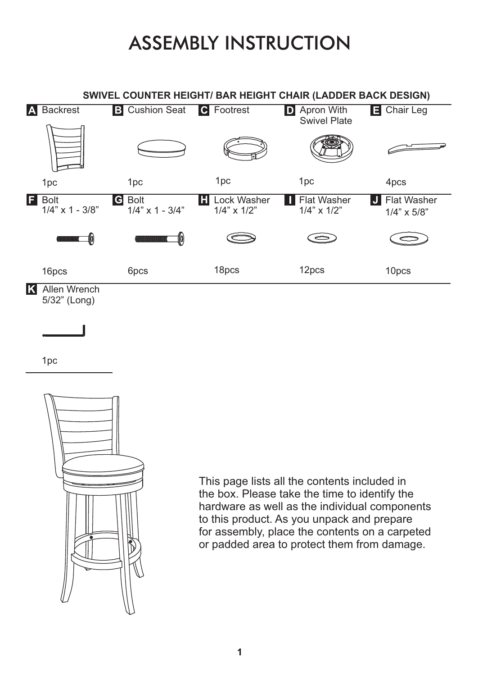## **ASSEMBLY INSTRUCTION**



1pc



This page lists all the contents included in the box. Please take the time to identify the hardware as well as the individual components to this product. As you unpack and prepare for assembly, place the contents on a carpeted or padded area to protect them from damage.